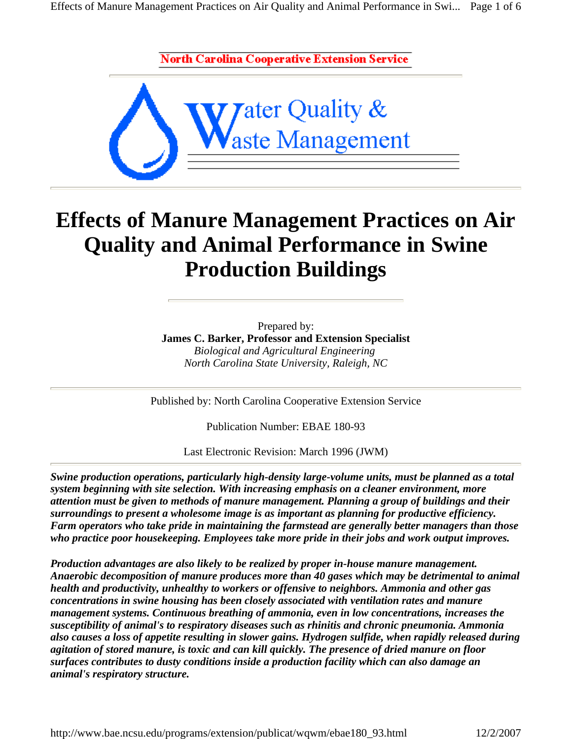**North Carolina Cooperative Extension Service** 



## **Effects of Manure Management Practices on Air Quality and Animal Performance in Swine Production Buildings**

Prepared by: **James C. Barker, Professor and Extension Specialist**  *Biological and Agricultural Engineering North Carolina State University, Raleigh, NC*

Published by: North Carolina Cooperative Extension Service

Publication Number: EBAE 180-93

Last Electronic Revision: March 1996 (JWM)

*Swine production operations, particularly high-density large-volume units, must be planned as a total system beginning with site selection. With increasing emphasis on a cleaner environment, more attention must be given to methods of manure management. Planning a group of buildings and their surroundings to present a wholesome image is as important as planning for productive efficiency. Farm operators who take pride in maintaining the farmstead are generally better managers than those who practice poor housekeeping. Employees take more pride in their jobs and work output improves.* 

*Production advantages are also likely to be realized by proper in-house manure management. Anaerobic decomposition of manure produces more than 40 gases which may be detrimental to animal health and productivity, unhealthy to workers or offensive to neighbors. Ammonia and other gas concentrations in swine housing has been closely associated with ventilation rates and manure management systems. Continuous breathing of ammonia, even in low concentrations, increases the susceptibility of animal's to respiratory diseases such as rhinitis and chronic pneumonia. Ammonia also causes a loss of appetite resulting in slower gains. Hydrogen sulfide, when rapidly released during agitation of stored manure, is toxic and can kill quickly. The presence of dried manure on floor surfaces contributes to dusty conditions inside a production facility which can also damage an animal's respiratory structure.*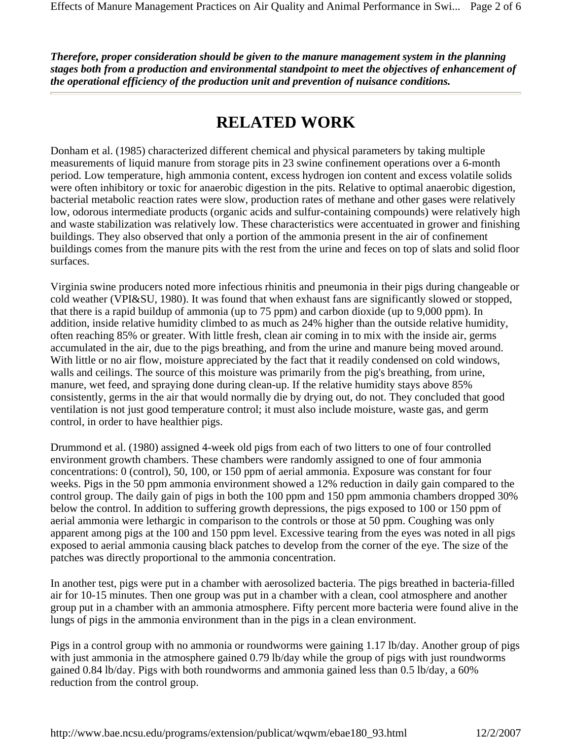*Therefore, proper consideration should be given to the manure management system in the planning stages both from a production and environmental standpoint to meet the objectives of enhancement of the operational efficiency of the production unit and prevention of nuisance conditions.* 

## **RELATED WORK**

Donham et al. (1985) characterized different chemical and physical parameters by taking multiple measurements of liquid manure from storage pits in 23 swine confinement operations over a 6-month period. Low temperature, high ammonia content, excess hydrogen ion content and excess volatile solids were often inhibitory or toxic for anaerobic digestion in the pits. Relative to optimal anaerobic digestion, bacterial metabolic reaction rates were slow, production rates of methane and other gases were relatively low, odorous intermediate products (organic acids and sulfur-containing compounds) were relatively high and waste stabilization was relatively low. These characteristics were accentuated in grower and finishing buildings. They also observed that only a portion of the ammonia present in the air of confinement buildings comes from the manure pits with the rest from the urine and feces on top of slats and solid floor surfaces.

Virginia swine producers noted more infectious rhinitis and pneumonia in their pigs during changeable or cold weather (VPI&SU, 1980). It was found that when exhaust fans are significantly slowed or stopped, that there is a rapid buildup of ammonia (up to 75 ppm) and carbon dioxide (up to 9,000 ppm). In addition, inside relative humidity climbed to as much as 24% higher than the outside relative humidity, often reaching 85% or greater. With little fresh, clean air coming in to mix with the inside air, germs accumulated in the air, due to the pigs breathing, and from the urine and manure being moved around. With little or no air flow, moisture appreciated by the fact that it readily condensed on cold windows, walls and ceilings. The source of this moisture was primarily from the pig's breathing, from urine, manure, wet feed, and spraying done during clean-up. If the relative humidity stays above 85% consistently, germs in the air that would normally die by drying out, do not. They concluded that good ventilation is not just good temperature control; it must also include moisture, waste gas, and germ control, in order to have healthier pigs.

Drummond et al. (1980) assigned 4-week old pigs from each of two litters to one of four controlled environment growth chambers. These chambers were randomly assigned to one of four ammonia concentrations: 0 (control), 50, 100, or 150 ppm of aerial ammonia. Exposure was constant for four weeks. Pigs in the 50 ppm ammonia environment showed a 12% reduction in daily gain compared to the control group. The daily gain of pigs in both the 100 ppm and 150 ppm ammonia chambers dropped 30% below the control. In addition to suffering growth depressions, the pigs exposed to 100 or 150 ppm of aerial ammonia were lethargic in comparison to the controls or those at 50 ppm. Coughing was only apparent among pigs at the 100 and 150 ppm level. Excessive tearing from the eyes was noted in all pigs exposed to aerial ammonia causing black patches to develop from the corner of the eye. The size of the patches was directly proportional to the ammonia concentration.

In another test, pigs were put in a chamber with aerosolized bacteria. The pigs breathed in bacteria-filled air for 10-15 minutes. Then one group was put in a chamber with a clean, cool atmosphere and another group put in a chamber with an ammonia atmosphere. Fifty percent more bacteria were found alive in the lungs of pigs in the ammonia environment than in the pigs in a clean environment.

Pigs in a control group with no ammonia or roundworms were gaining 1.17 lb/day. Another group of pigs with just ammonia in the atmosphere gained 0.79 lb/day while the group of pigs with just roundworms gained 0.84 lb/day. Pigs with both roundworms and ammonia gained less than 0.5 lb/day, a 60% reduction from the control group.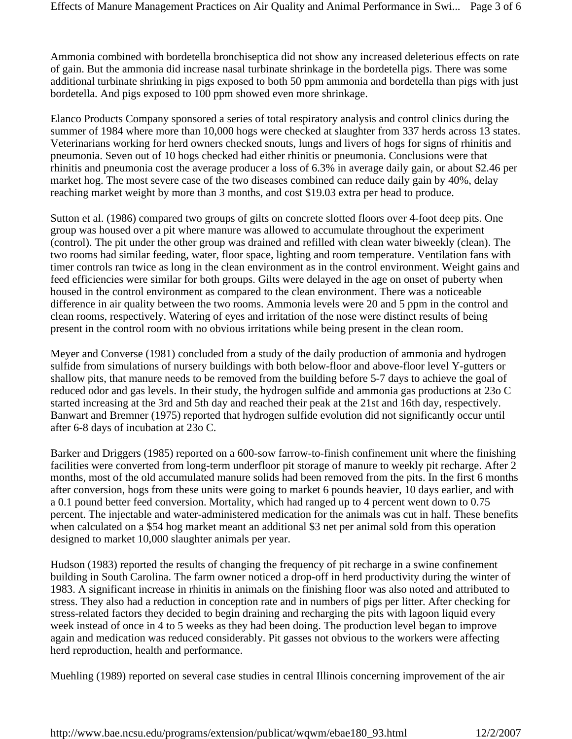Ammonia combined with bordetella bronchiseptica did not show any increased deleterious effects on rate of gain. But the ammonia did increase nasal turbinate shrinkage in the bordetella pigs. There was some additional turbinate shrinking in pigs exposed to both 50 ppm ammonia and bordetella than pigs with just bordetella. And pigs exposed to 100 ppm showed even more shrinkage.

Elanco Products Company sponsored a series of total respiratory analysis and control clinics during the summer of 1984 where more than 10,000 hogs were checked at slaughter from 337 herds across 13 states. Veterinarians working for herd owners checked snouts, lungs and livers of hogs for signs of rhinitis and pneumonia. Seven out of 10 hogs checked had either rhinitis or pneumonia. Conclusions were that rhinitis and pneumonia cost the average producer a loss of 6.3% in average daily gain, or about \$2.46 per market hog. The most severe case of the two diseases combined can reduce daily gain by 40%, delay reaching market weight by more than 3 months, and cost \$19.03 extra per head to produce.

Sutton et al. (1986) compared two groups of gilts on concrete slotted floors over 4-foot deep pits. One group was housed over a pit where manure was allowed to accumulate throughout the experiment (control). The pit under the other group was drained and refilled with clean water biweekly (clean). The two rooms had similar feeding, water, floor space, lighting and room temperature. Ventilation fans with timer controls ran twice as long in the clean environment as in the control environment. Weight gains and feed efficiencies were similar for both groups. Gilts were delayed in the age on onset of puberty when housed in the control environment as compared to the clean environment. There was a noticeable difference in air quality between the two rooms. Ammonia levels were 20 and 5 ppm in the control and clean rooms, respectively. Watering of eyes and irritation of the nose were distinct results of being present in the control room with no obvious irritations while being present in the clean room.

Meyer and Converse (1981) concluded from a study of the daily production of ammonia and hydrogen sulfide from simulations of nursery buildings with both below-floor and above-floor level Y-gutters or shallow pits, that manure needs to be removed from the building before 5-7 days to achieve the goal of reduced odor and gas levels. In their study, the hydrogen sulfide and ammonia gas productions at 23o C started increasing at the 3rd and 5th day and reached their peak at the 21st and 16th day, respectively. Banwart and Bremner (1975) reported that hydrogen sulfide evolution did not significantly occur until after 6-8 days of incubation at 23o C.

Barker and Driggers (1985) reported on a 600-sow farrow-to-finish confinement unit where the finishing facilities were converted from long-term underfloor pit storage of manure to weekly pit recharge. After 2 months, most of the old accumulated manure solids had been removed from the pits. In the first 6 months after conversion, hogs from these units were going to market 6 pounds heavier, 10 days earlier, and with a 0.1 pound better feed conversion. Mortality, which had ranged up to 4 percent went down to 0.75 percent. The injectable and water-administered medication for the animals was cut in half. These benefits when calculated on a \$54 hog market meant an additional \$3 net per animal sold from this operation designed to market 10,000 slaughter animals per year.

Hudson (1983) reported the results of changing the frequency of pit recharge in a swine confinement building in South Carolina. The farm owner noticed a drop-off in herd productivity during the winter of 1983. A significant increase in rhinitis in animals on the finishing floor was also noted and attributed to stress. They also had a reduction in conception rate and in numbers of pigs per litter. After checking for stress-related factors they decided to begin draining and recharging the pits with lagoon liquid every week instead of once in 4 to 5 weeks as they had been doing. The production level began to improve again and medication was reduced considerably. Pit gasses not obvious to the workers were affecting herd reproduction, health and performance.

Muehling (1989) reported on several case studies in central Illinois concerning improvement of the air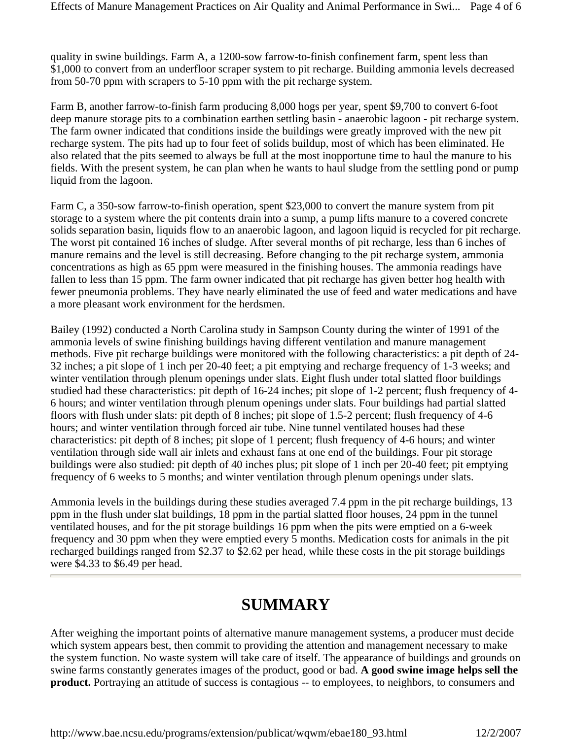quality in swine buildings. Farm A, a 1200-sow farrow-to-finish confinement farm, spent less than \$1,000 to convert from an underfloor scraper system to pit recharge. Building ammonia levels decreased from 50-70 ppm with scrapers to 5-10 ppm with the pit recharge system.

Farm B, another farrow-to-finish farm producing 8,000 hogs per year, spent \$9,700 to convert 6-foot deep manure storage pits to a combination earthen settling basin - anaerobic lagoon - pit recharge system. The farm owner indicated that conditions inside the buildings were greatly improved with the new pit recharge system. The pits had up to four feet of solids buildup, most of which has been eliminated. He also related that the pits seemed to always be full at the most inopportune time to haul the manure to his fields. With the present system, he can plan when he wants to haul sludge from the settling pond or pump liquid from the lagoon.

Farm C, a 350-sow farrow-to-finish operation, spent \$23,000 to convert the manure system from pit storage to a system where the pit contents drain into a sump, a pump lifts manure to a covered concrete solids separation basin, liquids flow to an anaerobic lagoon, and lagoon liquid is recycled for pit recharge. The worst pit contained 16 inches of sludge. After several months of pit recharge, less than 6 inches of manure remains and the level is still decreasing. Before changing to the pit recharge system, ammonia concentrations as high as 65 ppm were measured in the finishing houses. The ammonia readings have fallen to less than 15 ppm. The farm owner indicated that pit recharge has given better hog health with fewer pneumonia problems. They have nearly eliminated the use of feed and water medications and have a more pleasant work environment for the herdsmen.

Bailey (1992) conducted a North Carolina study in Sampson County during the winter of 1991 of the ammonia levels of swine finishing buildings having different ventilation and manure management methods. Five pit recharge buildings were monitored with the following characteristics: a pit depth of 24- 32 inches; a pit slope of 1 inch per 20-40 feet; a pit emptying and recharge frequency of 1-3 weeks; and winter ventilation through plenum openings under slats. Eight flush under total slatted floor buildings studied had these characteristics: pit depth of 16-24 inches; pit slope of 1-2 percent; flush frequency of 4- 6 hours; and winter ventilation through plenum openings under slats. Four buildings had partial slatted floors with flush under slats: pit depth of 8 inches; pit slope of 1.5-2 percent; flush frequency of 4-6 hours; and winter ventilation through forced air tube. Nine tunnel ventilated houses had these characteristics: pit depth of 8 inches; pit slope of 1 percent; flush frequency of 4-6 hours; and winter ventilation through side wall air inlets and exhaust fans at one end of the buildings. Four pit storage buildings were also studied: pit depth of 40 inches plus; pit slope of 1 inch per 20-40 feet; pit emptying frequency of 6 weeks to 5 months; and winter ventilation through plenum openings under slats.

Ammonia levels in the buildings during these studies averaged 7.4 ppm in the pit recharge buildings, 13 ppm in the flush under slat buildings, 18 ppm in the partial slatted floor houses, 24 ppm in the tunnel ventilated houses, and for the pit storage buildings 16 ppm when the pits were emptied on a 6-week frequency and 30 ppm when they were emptied every 5 months. Medication costs for animals in the pit recharged buildings ranged from \$2.37 to \$2.62 per head, while these costs in the pit storage buildings were \$4.33 to \$6.49 per head.

## **SUMMARY**

After weighing the important points of alternative manure management systems, a producer must decide which system appears best, then commit to providing the attention and management necessary to make the system function. No waste system will take care of itself. The appearance of buildings and grounds on swine farms constantly generates images of the product, good or bad. **A good swine image helps sell the product.** Portraying an attitude of success is contagious -- to employees, to neighbors, to consumers and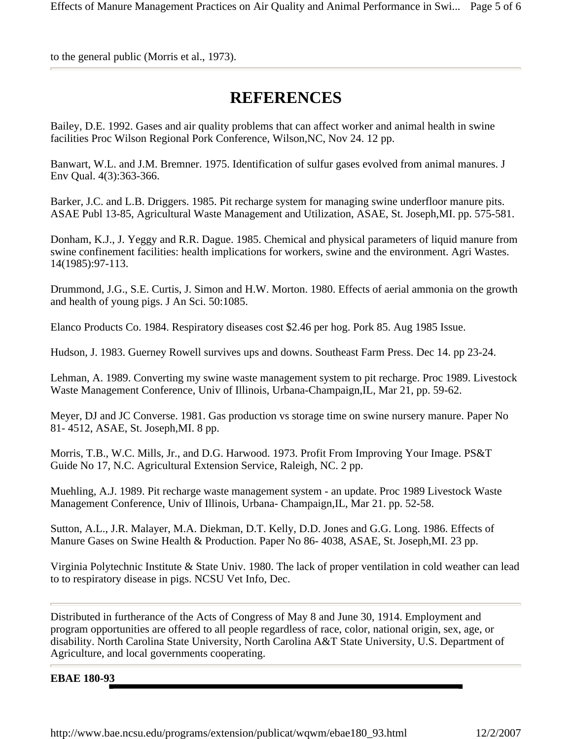to the general public (Morris et al., 1973).

## **REFERENCES**

Bailey, D.E. 1992. Gases and air quality problems that can affect worker and animal health in swine facilities Proc Wilson Regional Pork Conference, Wilson,NC, Nov 24. 12 pp.

Banwart, W.L. and J.M. Bremner. 1975. Identification of sulfur gases evolved from animal manures. J Env Qual. 4(3):363-366.

Barker, J.C. and L.B. Driggers. 1985. Pit recharge system for managing swine underfloor manure pits. ASAE Publ 13-85, Agricultural Waste Management and Utilization, ASAE, St. Joseph,MI. pp. 575-581.

Donham, K.J., J. Yeggy and R.R. Dague. 1985. Chemical and physical parameters of liquid manure from swine confinement facilities: health implications for workers, swine and the environment. Agri Wastes. 14(1985):97-113.

Drummond, J.G., S.E. Curtis, J. Simon and H.W. Morton. 1980. Effects of aerial ammonia on the growth and health of young pigs. J An Sci. 50:1085.

Elanco Products Co. 1984. Respiratory diseases cost \$2.46 per hog. Pork 85. Aug 1985 Issue.

Hudson, J. 1983. Guerney Rowell survives ups and downs. Southeast Farm Press. Dec 14. pp 23-24.

Lehman, A. 1989. Converting my swine waste management system to pit recharge. Proc 1989. Livestock Waste Management Conference, Univ of Illinois, Urbana-Champaign,IL, Mar 21, pp. 59-62.

Meyer, DJ and JC Converse. 1981. Gas production vs storage time on swine nursery manure. Paper No 81- 4512, ASAE, St. Joseph,MI. 8 pp.

Morris, T.B., W.C. Mills, Jr., and D.G. Harwood. 1973. Profit From Improving Your Image. PS&T Guide No 17, N.C. Agricultural Extension Service, Raleigh, NC. 2 pp.

Muehling, A.J. 1989. Pit recharge waste management system - an update. Proc 1989 Livestock Waste Management Conference, Univ of Illinois, Urbana- Champaign,IL, Mar 21. pp. 52-58.

Sutton, A.L., J.R. Malayer, M.A. Diekman, D.T. Kelly, D.D. Jones and G.G. Long. 1986. Effects of Manure Gases on Swine Health & Production. Paper No 86- 4038, ASAE, St. Joseph,MI. 23 pp.

Virginia Polytechnic Institute & State Univ. 1980. The lack of proper ventilation in cold weather can lead to to respiratory disease in pigs. NCSU Vet Info, Dec.

Distributed in furtherance of the Acts of Congress of May 8 and June 30, 1914. Employment and program opportunities are offered to all people regardless of race, color, national origin, sex, age, or disability. North Carolina State University, North Carolina A&T State University, U.S. Department of Agriculture, and local governments cooperating.

**EBAE 180-93**